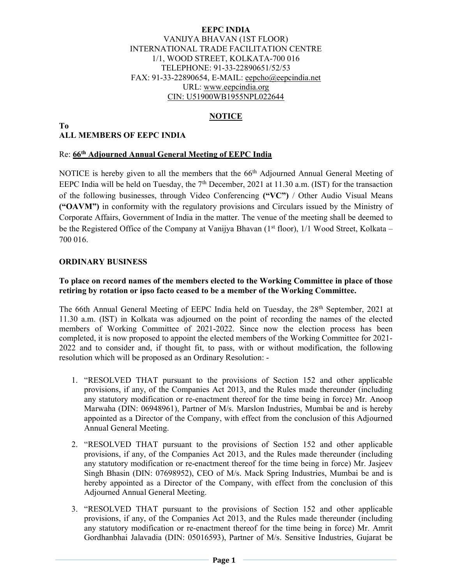#### EEPC INDIA VANIJYA BHAVAN (1ST FLOOR) INTERNATIONAL TRADE FACILITATION CENTRE 1/1, WOOD STREET, KOLKATA-700 016 TELEPHONE: 91-33-22890651/52/53 FAX: 91-33-22890654, E-MAIL: eepcho@eepcindia.net URL: www.eepcindia.org CIN: U51900WB1955NPL022644

### NOTICE

#### To ALL MEMBERS OF EEPC INDIA

#### Re: 66<sup>th</sup> Adjourned Annual General Meeting of EEPC India

NOTICE is hereby given to all the members that the 66<sup>th</sup> Adjourned Annual General Meeting of EEPC India will be held on Tuesday, the  $7<sup>th</sup>$  December, 2021 at 11.30 a.m. (IST) for the transaction of the following businesses, through Video Conferencing  $({}^{\omega}V\mathbb{C}^{\cdot})$  / Other Audio Visual Means ("OAVM") in conformity with the regulatory provisions and Circulars issued by the Ministry of Corporate Affairs, Government of India in the matter. The venue of the meeting shall be deemed to be the Registered Office of the Company at Vanijya Bhavan  $(1<sup>st</sup> floor)$ ,  $1/1$  Wood Street, Kolkata – 700 016.

### ORDINARY BUSINESS

#### To place on record names of the members elected to the Working Committee in place of those retiring by rotation or ipso facto ceased to be a member of the Working Committee.

The 66th Annual General Meeting of EEPC India held on Tuesday, the 28th September, 2021 at 11.30 a.m. (IST) in Kolkata was adjourned on the point of recording the names of the elected members of Working Committee of 2021-2022. Since now the election process has been completed, it is now proposed to appoint the elected members of the Working Committee for 2021- 2022 and to consider and, if thought fit, to pass, with or without modification, the following resolution which will be proposed as an Ordinary Resolution: -

- 1. "RESOLVED THAT pursuant to the provisions of Section 152 and other applicable provisions, if any, of the Companies Act 2013, and the Rules made thereunder (including any statutory modification or re-enactment thereof for the time being in force) Mr. Anoop Marwaha (DIN: 06948961), Partner of M/s. Marslon Industries, Mumbai be and is hereby appointed as a Director of the Company, with effect from the conclusion of this Adjourned Annual General Meeting.
- 2. "RESOLVED THAT pursuant to the provisions of Section 152 and other applicable provisions, if any, of the Companies Act 2013, and the Rules made thereunder (including any statutory modification or re-enactment thereof for the time being in force) Mr. Jasjeev Singh Bhasin (DIN: 07698952), CEO of M/s. Mack Spring Industries, Mumbai be and is hereby appointed as a Director of the Company, with effect from the conclusion of this Adjourned Annual General Meeting.
- 3. "RESOLVED THAT pursuant to the provisions of Section 152 and other applicable provisions, if any, of the Companies Act 2013, and the Rules made thereunder (including any statutory modification or re-enactment thereof for the time being in force) Mr. Amrit Gordhanbhai Jalavadia (DIN: 05016593), Partner of M/s. Sensitive Industries, Gujarat be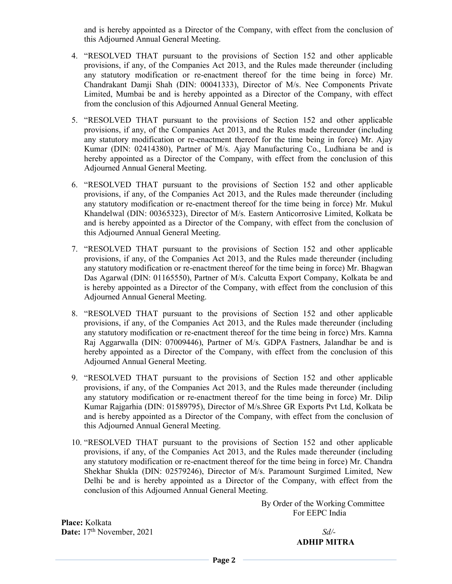and is hereby appointed as a Director of the Company, with effect from the conclusion of this Adjourned Annual General Meeting.

- 4. "RESOLVED THAT pursuant to the provisions of Section 152 and other applicable provisions, if any, of the Companies Act 2013, and the Rules made thereunder (including any statutory modification or re-enactment thereof for the time being in force) Mr. Chandrakant Damji Shah (DIN: 00041333), Director of M/s. Nee Components Private Limited, Mumbai be and is hereby appointed as a Director of the Company, with effect from the conclusion of this Adjourned Annual General Meeting.
- 5. "RESOLVED THAT pursuant to the provisions of Section 152 and other applicable provisions, if any, of the Companies Act 2013, and the Rules made thereunder (including any statutory modification or re-enactment thereof for the time being in force) Mr. Ajay Kumar (DIN: 02414380), Partner of M/s. Ajay Manufacturing Co., Ludhiana be and is hereby appointed as a Director of the Company, with effect from the conclusion of this Adjourned Annual General Meeting.
- 6. "RESOLVED THAT pursuant to the provisions of Section 152 and other applicable provisions, if any, of the Companies Act 2013, and the Rules made thereunder (including any statutory modification or re-enactment thereof for the time being in force) Mr. Mukul Khandelwal (DIN: 00365323), Director of M/s. Eastern Anticorrosive Limited, Kolkata be and is hereby appointed as a Director of the Company, with effect from the conclusion of this Adjourned Annual General Meeting.
- 7. "RESOLVED THAT pursuant to the provisions of Section 152 and other applicable provisions, if any, of the Companies Act 2013, and the Rules made thereunder (including any statutory modification or re-enactment thereof for the time being in force) Mr. Bhagwan Das Agarwal (DIN: 01165550), Partner of M/s. Calcutta Export Company, Kolkata be and is hereby appointed as a Director of the Company, with effect from the conclusion of this Adjourned Annual General Meeting.
- 8. "RESOLVED THAT pursuant to the provisions of Section 152 and other applicable provisions, if any, of the Companies Act 2013, and the Rules made thereunder (including any statutory modification or re-enactment thereof for the time being in force) Mrs. Kamna Raj Aggarwalla (DIN: 07009446), Partner of M/s. GDPA Fastners, Jalandhar be and is hereby appointed as a Director of the Company, with effect from the conclusion of this Adjourned Annual General Meeting.
- 9. "RESOLVED THAT pursuant to the provisions of Section 152 and other applicable provisions, if any, of the Companies Act 2013, and the Rules made thereunder (including any statutory modification or re-enactment thereof for the time being in force) Mr. Dilip Kumar Rajgarhia (DIN: 01589795), Director of M/s.Shree GR Exports Pvt Ltd, Kolkata be and is hereby appointed as a Director of the Company, with effect from the conclusion of this Adjourned Annual General Meeting.
- 10. "RESOLVED THAT pursuant to the provisions of Section 152 and other applicable provisions, if any, of the Companies Act 2013, and the Rules made thereunder (including any statutory modification or re-enactment thereof for the time being in force) Mr. Chandra Shekhar Shukla (DIN: 02579246), Director of M/s. Paramount Surgimed Limited, New Delhi be and is hereby appointed as a Director of the Company, with effect from the conclusion of this Adjourned Annual General Meeting.

 By Order of the Working Committee For EEPC India

 Place: Kolkata Date:  $17<sup>th</sup>$  November,  $2021$  Sd/-

ADHIP MITRA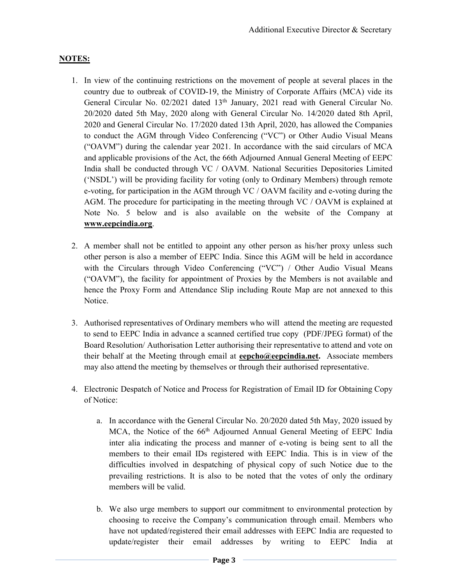### NOTES:

- 1. In view of the continuing restrictions on the movement of people at several places in the country due to outbreak of COVID-19, the Ministry of Corporate Affairs (MCA) vide its General Circular No. 02/2021 dated 13<sup>th</sup> January, 2021 read with General Circular No. 20/2020 dated 5th May, 2020 along with General Circular No. 14/2020 dated 8th April, 2020 and General Circular No. 17/2020 dated 13th April, 2020, has allowed the Companies to conduct the AGM through Video Conferencing ("VC") or Other Audio Visual Means ("OAVM") during the calendar year 2021. In accordance with the said circulars of MCA and applicable provisions of the Act, the 66th Adjourned Annual General Meeting of EEPC India shall be conducted through VC / OAVM. National Securities Depositories Limited ('NSDL') will be providing facility for voting (only to Ordinary Members) through remote e-voting, for participation in the AGM through VC / OAVM facility and e-voting during the AGM. The procedure for participating in the meeting through VC / OAVM is explained at Note No. 5 below and is also available on the website of the Company at www.eepcindia.org.
- 2. A member shall not be entitled to appoint any other person as his/her proxy unless such other person is also a member of EEPC India. Since this AGM will be held in accordance with the Circulars through Video Conferencing ("VC") / Other Audio Visual Means ("OAVM"), the facility for appointment of Proxies by the Members is not available and hence the Proxy Form and Attendance Slip including Route Map are not annexed to this Notice.
- 3. Authorised representatives of Ordinary members who will attend the meeting are requested to send to EEPC India in advance a scanned certified true copy (PDF/JPEG format) of the Board Resolution/ Authorisation Letter authorising their representative to attend and vote on their behalf at the Meeting through email at **eepcho@eepcindia.net**. Associate members may also attend the meeting by themselves or through their authorised representative.
- 4. Electronic Despatch of Notice and Process for Registration of Email ID for Obtaining Copy of Notice:
	- a. In accordance with the General Circular No. 20/2020 dated 5th May, 2020 issued by MCA, the Notice of the 66<sup>th</sup> Adjourned Annual General Meeting of EEPC India inter alia indicating the process and manner of e-voting is being sent to all the members to their email IDs registered with EEPC India. This is in view of the difficulties involved in despatching of physical copy of such Notice due to the prevailing restrictions. It is also to be noted that the votes of only the ordinary members will be valid.
	- b. We also urge members to support our commitment to environmental protection by choosing to receive the Company's communication through email. Members who have not updated/registered their email addresses with EEPC India are requested to update/register their email addresses by writing to EEPC India at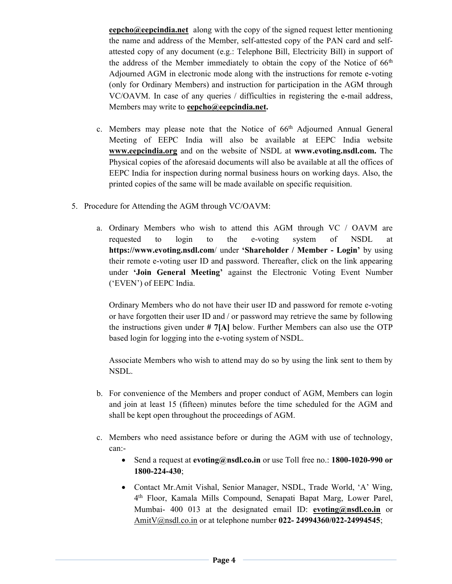eepcho@eepcindia.net along with the copy of the signed request letter mentioning the name and address of the Member, self-attested copy of the PAN card and selfattested copy of any document (e.g.: Telephone Bill, Electricity Bill) in support of the address of the Member immediately to obtain the copy of the Notice of  $66<sup>th</sup>$ Adjourned AGM in electronic mode along with the instructions for remote e-voting (only for Ordinary Members) and instruction for participation in the AGM through VC/OAVM. In case of any queries / difficulties in registering the e-mail address, Members may write to eepcho@eepcindia.net.

- c. Members may please note that the Notice of 66<sup>th</sup> Adjourned Annual General Meeting of EEPC India will also be available at EEPC India website www.eepcindia.org and on the website of NSDL at www.evoting.nsdl.com. The Physical copies of the aforesaid documents will also be available at all the offices of EEPC India for inspection during normal business hours on working days. Also, the printed copies of the same will be made available on specific requisition.
- 5. Procedure for Attending the AGM through VC/OAVM:
	- a. Ordinary Members who wish to attend this AGM through VC / OAVM are requested to login to the e-voting system of NSDL at https://www.evoting.nsdl.com/ under 'Shareholder / Member - Login' by using their remote e-voting user ID and password. Thereafter, click on the link appearing under 'Join General Meeting' against the Electronic Voting Event Number ('EVEN') of EEPC India.

Ordinary Members who do not have their user ID and password for remote e-voting or have forgotten their user ID and / or password may retrieve the same by following the instructions given under # 7[A] below. Further Members can also use the OTP based login for logging into the e-voting system of NSDL.

Associate Members who wish to attend may do so by using the link sent to them by NSDL.

- b. For convenience of the Members and proper conduct of AGM, Members can login and join at least 15 (fifteen) minutes before the time scheduled for the AGM and shall be kept open throughout the proceedings of AGM.
- c. Members who need assistance before or during the AGM with use of technology, can:-
	- Send a request at evoting@nsdl.co.in or use Toll free no.: 1800-1020-990 or 1800-224-430;
	- Contact Mr.Amit Vishal, Senior Manager, NSDL, Trade World, 'A' Wing, 4 th Floor, Kamala Mills Compound, Senapati Bapat Marg, Lower Parel, Mumbai- 400 013 at the designated email ID: evoting@nsdl.co.in or AmitV@nsdl.co.in or at telephone number 022- 24994360/022-24994545;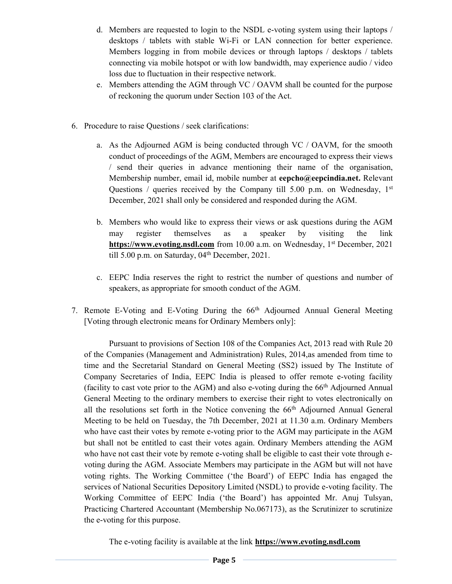- d. Members are requested to login to the NSDL e-voting system using their laptops / desktops / tablets with stable Wi-Fi or LAN connection for better experience. Members logging in from mobile devices or through laptops / desktops / tablets connecting via mobile hotspot or with low bandwidth, may experience audio / video loss due to fluctuation in their respective network.
- e. Members attending the AGM through VC / OAVM shall be counted for the purpose of reckoning the quorum under Section 103 of the Act.
- 6. Procedure to raise Questions / seek clarifications:
	- a. As the Adjourned AGM is being conducted through VC / OAVM, for the smooth conduct of proceedings of the AGM, Members are encouraged to express their views / send their queries in advance mentioning their name of the organisation, Membership number, email id, mobile number at eepcho@eepcindia.net. Relevant Questions / queries received by the Company till 5.00 p.m. on Wednesday,  $1<sup>st</sup>$ December, 2021 shall only be considered and responded during the AGM.
	- b. Members who would like to express their views or ask questions during the AGM may register themselves as a speaker by visiting the link https://www.evoting.nsdl.com from 10.00 a.m. on Wednesday, 1<sup>st</sup> December, 2021 till 5.00 p.m. on Saturday, 04<sup>th</sup> December, 2021.
	- c. EEPC India reserves the right to restrict the number of questions and number of speakers, as appropriate for smooth conduct of the AGM.
- 7. Remote E-Voting and E-Voting During the 66th Adjourned Annual General Meeting [Voting through electronic means for Ordinary Members only]:

Pursuant to provisions of Section 108 of the Companies Act, 2013 read with Rule 20 of the Companies (Management and Administration) Rules, 2014,as amended from time to time and the Secretarial Standard on General Meeting (SS2) issued by The Institute of Company Secretaries of India, EEPC India is pleased to offer remote e-voting facility (facility to cast vote prior to the AGM) and also e-voting during the 66th Adjourned Annual General Meeting to the ordinary members to exercise their right to votes electronically on all the resolutions set forth in the Notice convening the 66<sup>th</sup> Adjourned Annual General Meeting to be held on Tuesday, the 7th December, 2021 at 11.30 a.m. Ordinary Members who have cast their votes by remote e-voting prior to the AGM may participate in the AGM but shall not be entitled to cast their votes again. Ordinary Members attending the AGM who have not cast their vote by remote e-voting shall be eligible to cast their vote through evoting during the AGM. Associate Members may participate in the AGM but will not have voting rights. The Working Committee ('the Board') of EEPC India has engaged the services of National Securities Depository Limited (NSDL) to provide e-voting facility. The Working Committee of EEPC India ('the Board') has appointed Mr. Anuj Tulsyan, Practicing Chartered Accountant (Membership No.067173), as the Scrutinizer to scrutinize the e-voting for this purpose.

The e-voting facility is available at the link **https://www.evoting.nsdl.com**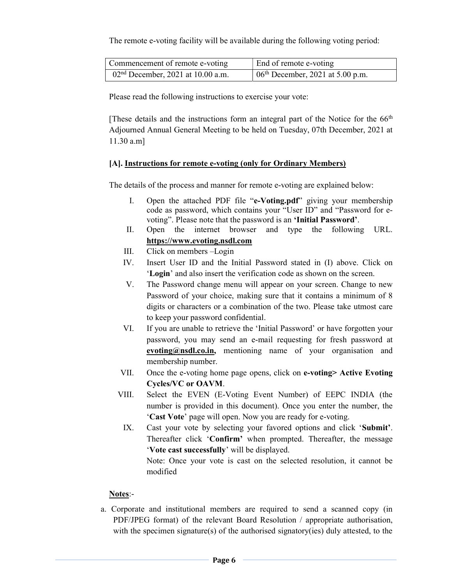The remote e-voting facility will be available during the following voting period:

| Commencement of remote e-voting     | End of remote e-voting                      |
|-------------------------------------|---------------------------------------------|
| $02nd$ December, 2021 at 10.00 a.m. | $\vert 06^{th}$ December, 2021 at 5.00 p.m. |

Please read the following instructions to exercise your vote:

[These details and the instructions form an integral part of the Notice for the 66th Adjourned Annual General Meeting to be held on Tuesday, 07th December, 2021 at 11.30 a.m]

### [A]. Instructions for remote e-voting (only for Ordinary Members)

The details of the process and manner for remote e-voting are explained below:

- I. Open the attached PDF file "e-Voting.pdf" giving your membership code as password, which contains your "User ID" and "Password for evoting". Please note that the password is an 'Initial Password'.
- II. Open the internet browser and type the following URL. https://www.evoting.nsdl.com
- III. Click on members –Login
- IV. Insert User ID and the Initial Password stated in (I) above. Click on 'Login' and also insert the verification code as shown on the screen.
- V. The Password change menu will appear on your screen. Change to new Password of your choice, making sure that it contains a minimum of 8 digits or characters or a combination of the two. Please take utmost care to keep your password confidential.
- VI. If you are unable to retrieve the 'Initial Password' or have forgotten your password, you may send an e-mail requesting for fresh password at evoting@nsdl.co.in, mentioning name of your organisation and membership number.
- VII. Once the e-voting home page opens, click on e-voting> Active Evoting Cycles/VC or OAVM.
- VIII. Select the EVEN (E-Voting Event Number) of EEPC INDIA (the number is provided in this document). Once you enter the number, the 'Cast Vote' page will open. Now you are ready for e-voting.
- IX. Cast your vote by selecting your favored options and click 'Submit'. Thereafter click 'Confirm' when prompted. Thereafter, the message 'Vote cast successfully' will be displayed.

Note: Once your vote is cast on the selected resolution, it cannot be modified

## Notes:-

a. Corporate and institutional members are required to send a scanned copy (in PDF/JPEG format) of the relevant Board Resolution / appropriate authorisation, with the specimen signature(s) of the authorised signatory(ies) duly attested, to the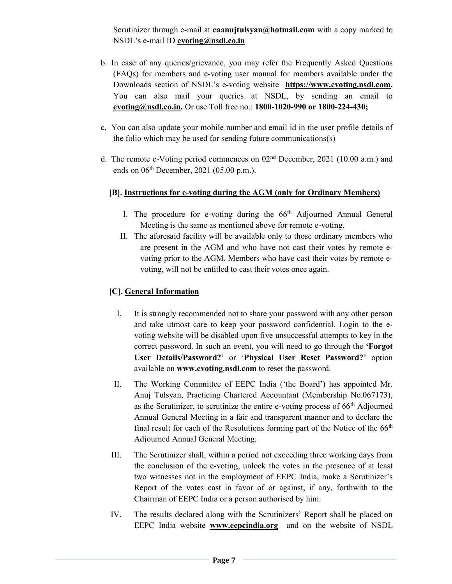Scrutinizer through e-mail at caanujtulsyan@hotmail.com with a copy marked to NSDL's e-mail ID evoting@nsdl.co.in

- b. In case of any queries/grievance, you may refer the Frequently Asked Questions (FAQs) for members and e-voting user manual for members available under the Downloads section of NSDL's e-voting website https://www.evoting.nsdl.com. You can also mail your queries at NSDL, by sending an email to evoting@nsdl.co.in. Or use Toll free no.: 1800-1020-990 or 1800-224-430;
- c. You can also update your mobile number and email id in the user profile details of the folio which may be used for sending future communications(s)
- d. The remote e-Voting period commences on 02nd December, 2021 (10.00 a.m.) and ends on  $06<sup>th</sup>$  December, 2021 (05.00 p.m.).

# [B]. Instructions for e-voting during the AGM (only for Ordinary Members)

- I. The procedure for e-voting during the  $66<sup>th</sup>$  Adjourned Annual General Meeting is the same as mentioned above for remote e-voting.
- II. The aforesaid facility will be available only to those ordinary members who are present in the AGM and who have not cast their votes by remote evoting prior to the AGM. Members who have cast their votes by remote evoting, will not be entitled to cast their votes once again.

## [C]. General Information

- I. It is strongly recommended not to share your password with any other person and take utmost care to keep your password confidential. Login to the evoting website will be disabled upon five unsuccessful attempts to key in the correct password. In such an event, you will need to go through the 'Forgot User Details/Password?' or 'Physical User Reset Password?' option available on www.evoting.nsdl.com to reset the password.
- II. The Working Committee of EEPC India ('the Board') has appointed Mr. Anuj Tulsyan, Practicing Chartered Accountant (Membership No.067173), as the Scrutinizer, to scrutinize the entire e-voting process of  $66<sup>th</sup>$  Adjourned Annual General Meeting in a fair and transparent manner and to declare the final result for each of the Resolutions forming part of the Notice of the  $66<sup>th</sup>$ Adjourned Annual General Meeting.
- III. The Scrutinizer shall, within a period not exceeding three working days from the conclusion of the e-voting, unlock the votes in the presence of at least two witnesses not in the employment of EEPC India, make a Scrutinizer's Report of the votes cast in favor of or against, if any, forthwith to the Chairman of EEPC India or a person authorised by him.
- IV. The results declared along with the Scrutinizers' Report shall be placed on EEPC India website www.eepcindia.org and on the website of NSDL